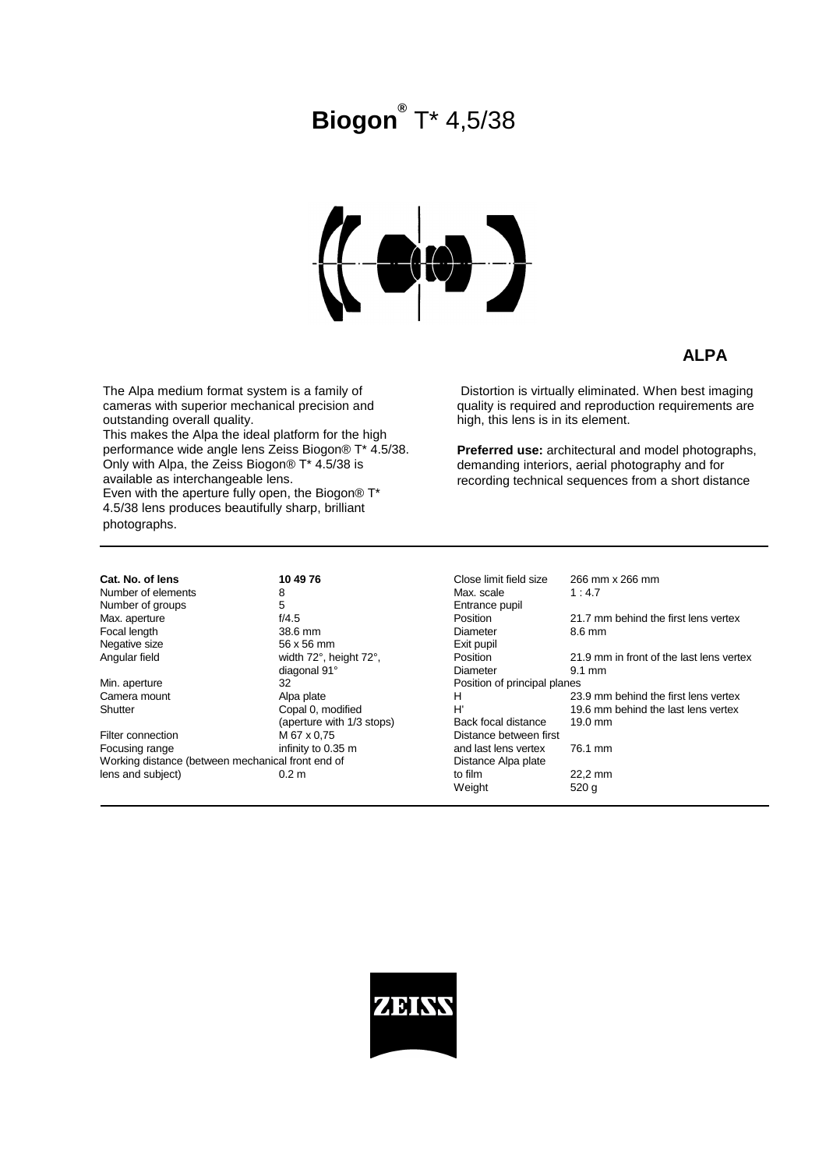# **Biogon®** T\* 4,5/38



### **ALPA**

The Alpa medium format system is a family of cameras with superior mechanical precision and outstanding overall quality.

This makes the Alpa the ideal platform for the high performance wide angle lens Zeiss Biogon® T\* 4.5/38. Only with Alpa, the Zeiss Biogon® T\* 4.5/38 is available as interchangeable lens. Even with the aperture fully open, the Biogon® T\*

4.5/38 lens produces beautifully sharp, brilliant photographs.

 Distortion is virtually eliminated. When best imaging quality is required and reproduction requirements are high, this lens is in its element.

**Preferred use:** architectural and model photographs, demanding interiors, aerial photography and for recording technical sequences from a short distance

**Cat. No. of lens 10 49 76**<br>
Number of elements 26 Number of elements 8<br>Number of groups 5 Number of groups 5<br>
Max. aperture 6 1/4.5 Max. aperture f/4.5<br>
Focal length behind the first lens vertex vertex vertex vertex vertex vertex vertex vertex vertex vertex vertex vertex vertex vertex vertex vertex vertex vertex vertex vertex vertex vertex vertex verte Focal length 38.6 mm<br>Negative size 56 x 56 mm Negative size<br>Angular field

Min. aperture 32<br>
Camera mount Blog Alpa plate Camera mount<br>Shutter

Filter connection M 67 x 0,75<br>Focusing range between infinity to 0.3 Working distance (between mechanical front end of  $lens$  and subject) 0.2 m

width 72°, height 72°, diagonal 91°<br>32 Copal 0, modified  $(a$ perture with  $1/3$  stops) infinity to 0.35 m

| Close limit field size<br>Max. scale<br>Entrance pupil | 266 mm x 266 mm<br>1:4.7                 |
|--------------------------------------------------------|------------------------------------------|
| Position                                               | 21.7 mm behind the first lens vertex     |
| Diameter                                               | 8.6 mm                                   |
| Exit pupil                                             |                                          |
| Position                                               | 21.9 mm in front of the last lens vertex |
| Diameter                                               | $9.1 \text{ mm}$                         |
| Position of principal planes                           |                                          |
| н                                                      | 23.9 mm behind the first lens vertex     |
| H'                                                     | 19.6 mm behind the last lens vertex      |
| Back focal distance                                    | 19.0 mm                                  |
| Distance between first                                 |                                          |
| and last lens vertex                                   | 76.1 mm                                  |
| Distance Alpa plate                                    |                                          |
| to film                                                | 22,2 mm                                  |
| Weight                                                 | 520 <sub>g</sub>                         |